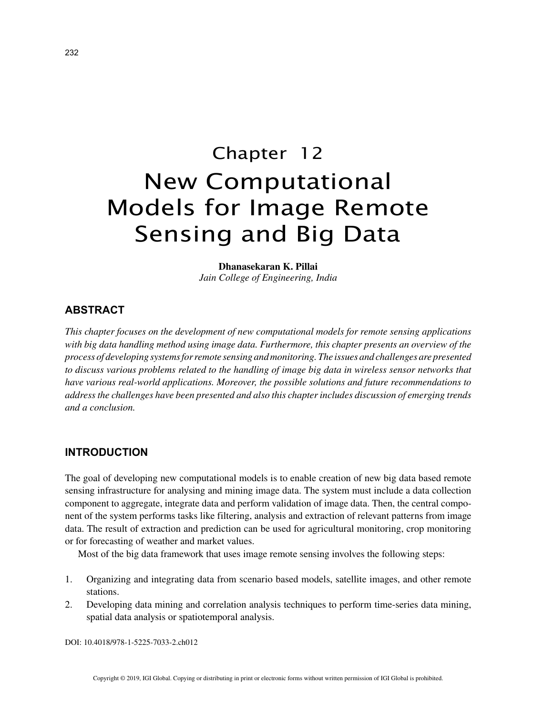# Chapter 12 New Computational Models for Image Remote Sensing and Big Data

**Dhanasekaran K. Pillai** *Jain College of Engineering, India*

# **ABSTRACT**

*This chapter focuses on the development of new computational models for remote sensing applications with big data handling method using image data. Furthermore, this chapter presents an overview of the process of developing systems for remote sensing and monitoring. The issues and challenges are presented to discuss various problems related to the handling of image big data in wireless sensor networks that have various real-world applications. Moreover, the possible solutions and future recommendations to address the challenges have been presented and also this chapter includes discussion of emerging trends and a conclusion.*

## **INTRODUCTION**

The goal of developing new computational models is to enable creation of new big data based remote sensing infrastructure for analysing and mining image data. The system must include a data collection component to aggregate, integrate data and perform validation of image data. Then, the central component of the system performs tasks like filtering, analysis and extraction of relevant patterns from image data. The result of extraction and prediction can be used for agricultural monitoring, crop monitoring or for forecasting of weather and market values.

Most of the big data framework that uses image remote sensing involves the following steps:

- 1. Organizing and integrating data from scenario based models, satellite images, and other remote stations.
- 2. Developing data mining and correlation analysis techniques to perform time-series data mining, spatial data analysis or spatiotemporal analysis.

DOI: 10.4018/978-1-5225-7033-2.ch012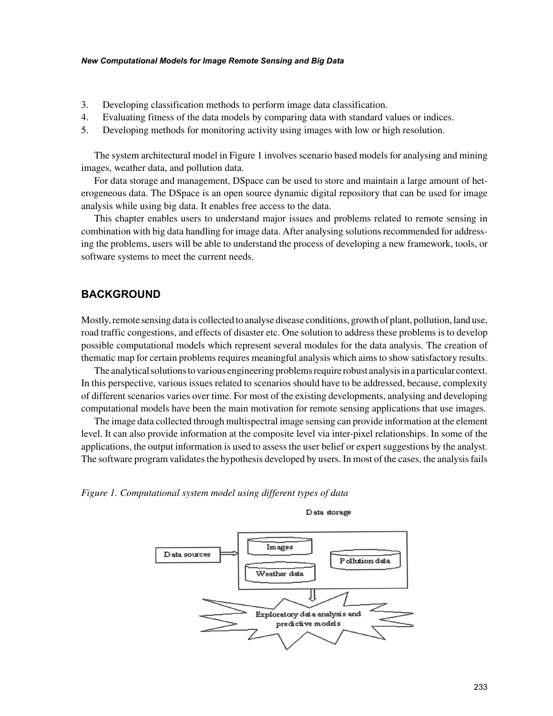#### *New Computational Models for Image Remote Sensing and Big Data*

- 3. Developing classification methods to perform image data classification.
- 4. Evaluating fitness of the data models by comparing data with standard values or indices.
- 5. Developing methods for monitoring activity using images with low or high resolution.

The system architectural model in Figure 1 involves scenario based models for analysing and mining images, weather data, and pollution data.

For data storage and management, DSpace can be used to store and maintain a large amount of heterogeneous data. The DSpace is an open source dynamic digital repository that can be used for image analysis while using big data. It enables free access to the data.

This chapter enables users to understand major issues and problems related to remote sensing in combination with big data handling for image data. After analysing solutions recommended for addressing the problems, users will be able to understand the process of developing a new framework, tools, or software systems to meet the current needs.

## **BACKGROUND**

Mostly, remote sensing data is collected to analyse disease conditions, growth of plant, pollution, land use, road traffic congestions, and effects of disaster etc. One solution to address these problems is to develop possible computational models which represent several modules for the data analysis. The creation of thematic map for certain problems requires meaningful analysis which aims to show satisfactory results.

The analytical solutions to various engineering problems require robust analysis in a particular context. In this perspective, various issues related to scenarios should have to be addressed, because, complexity of different scenarios varies over time. For most of the existing developments, analysing and developing computational models have been the main motivation for remote sensing applications that use images.

The image data collected through multispectral image sensing can provide information at the element level. It can also provide information at the composite level via inter-pixel relationships. In some of the applications, the output information is used to assess the user belief or expert suggestions by the analyst. The software program validates the hypothesis developed by users. In most of the cases, the analysis fails

*Figure 1. Computational system model using different types of data*



Data storage